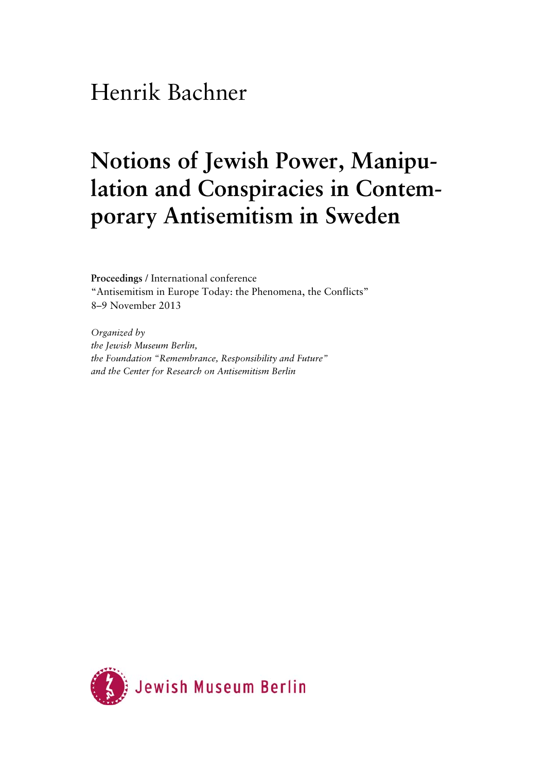## Henrik Bachner

## **Notions of Jewish Power, Manipulation and Conspiracies in Contemporary Antisemitism in Sweden**

**Proceedings** / International conference "Antisemitism in Europe Today: the Phenomena, the Conflicts" 8–9 November 2013

*Organized by the Jewish Museum Berlin, the Foundation "Remembrance, Responsibility and Future" and the Center for Research on Antisemitism Berlin* 

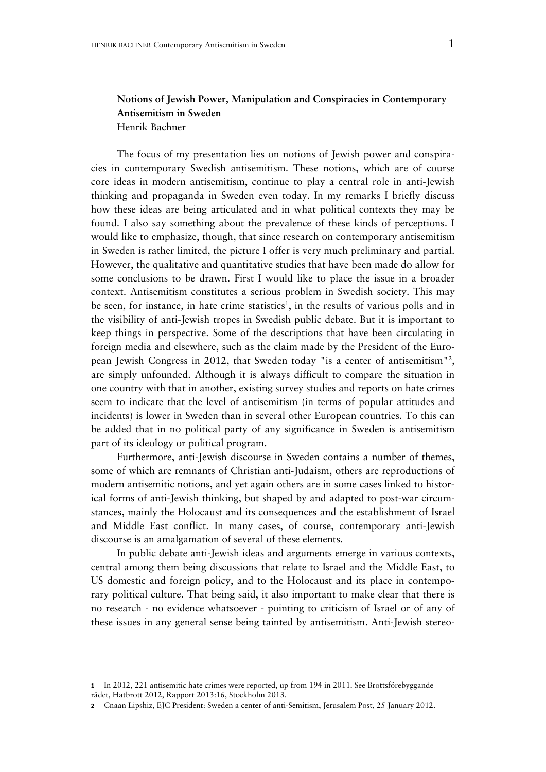## **Notions of Jewish Power, Manipulation and Conspiracies in Contemporary Antisemitism in Sweden**  Henrik Bachner

The focus of my presentation lies on notions of Jewish power and conspiracies in contemporary Swedish antisemitism. These notions, which are of course core ideas in modern antisemitism, continue to play a central role in anti-Jewish thinking and propaganda in Sweden even today. In my remarks I briefly discuss how these ideas are being articulated and in what political contexts they may be found. I also say something about the prevalence of these kinds of perceptions. I would like to emphasize, though, that since research on contemporary antisemitism in Sweden is rather limited, the picture I offer is very much preliminary and partial. However, the qualitative and quantitative studies that have been made do allow for some conclusions to be drawn. First I would like to place the issue in a broader context. Antisemitism constitutes a serious problem in Swedish society. This may be seen, for instance, in hate crime statistics<sup>1</sup>, in the results of various polls and in the visibility of anti-Jewish tropes in Swedish public debate. But it is important to keep things in perspective. Some of the descriptions that have been circulating in foreign media and elsewhere, such as the claim made by the President of the European Jewish Congress in 2012, that Sweden today "is a center of antisemitism"2 , are simply unfounded. Although it is always difficult to compare the situation in one country with that in another, existing survey studies and reports on hate crimes seem to indicate that the level of antisemitism (in terms of popular attitudes and incidents) is lower in Sweden than in several other European countries. To this can be added that in no political party of any significance in Sweden is antisemitism part of its ideology or political program.

Furthermore, anti-Jewish discourse in Sweden contains a number of themes, some of which are remnants of Christian anti-Judaism, others are reproductions of modern antisemitic notions, and yet again others are in some cases linked to historical forms of anti-Jewish thinking, but shaped by and adapted to post-war circumstances, mainly the Holocaust and its consequences and the establishment of Israel and Middle East conflict. In many cases, of course, contemporary anti-Jewish discourse is an amalgamation of several of these elements.

In public debate anti-Jewish ideas and arguments emerge in various contexts, central among them being discussions that relate to Israel and the Middle East, to US domestic and foreign policy, and to the Holocaust and its place in contemporary political culture. That being said, it also important to make clear that there is no research - no evidence whatsoever - pointing to criticism of Israel or of any of these issues in any general sense being tainted by antisemitism. Anti-Jewish stereo-

**<sup>1</sup>** In 2012, 221 antisemitic hate crimes were reported, up from 194 in 2011. See Brottsförebyggande rådet, Hatbrott 2012, Rapport 2013:16, Stockholm 2013.

**<sup>2</sup>** Cnaan Lipshiz, EJC President: Sweden a center of anti-Semitism, Jerusalem Post, 25 January 2012.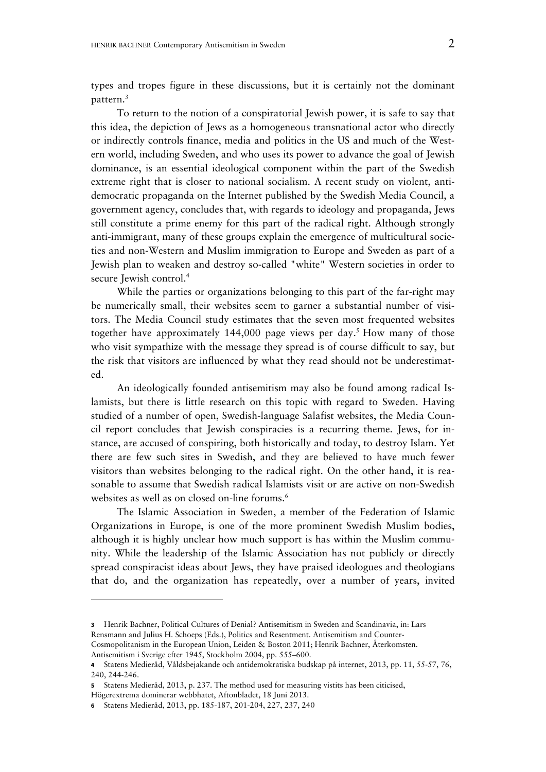types and tropes figure in these discussions, but it is certainly not the dominant pattern.3

To return to the notion of a conspiratorial Jewish power, it is safe to say that this idea, the depiction of Jews as a homogeneous transnational actor who directly or indirectly controls finance, media and politics in the US and much of the Western world, including Sweden, and who uses its power to advance the goal of Jewish dominance, is an essential ideological component within the part of the Swedish extreme right that is closer to national socialism. A recent study on violent, antidemocratic propaganda on the Internet published by the Swedish Media Council, a government agency, concludes that, with regards to ideology and propaganda, Jews still constitute a prime enemy for this part of the radical right. Although strongly anti-immigrant, many of these groups explain the emergence of multicultural societies and non-Western and Muslim immigration to Europe and Sweden as part of a Jewish plan to weaken and destroy so-called "white" Western societies in order to secure Jewish control.<sup>4</sup>

While the parties or organizations belonging to this part of the far-right may be numerically small, their websites seem to garner a substantial number of visitors. The Media Council study estimates that the seven most frequented websites together have approximately 144,000 page views per day.<sup>5</sup> How many of those who visit sympathize with the message they spread is of course difficult to say, but the risk that visitors are influenced by what they read should not be underestimated.

An ideologically founded antisemitism may also be found among radical Islamists, but there is little research on this topic with regard to Sweden. Having studied of a number of open, Swedish-language Salafist websites, the Media Council report concludes that Jewish conspiracies is a recurring theme. Jews, for instance, are accused of conspiring, both historically and today, to destroy Islam. Yet there are few such sites in Swedish, and they are believed to have much fewer visitors than websites belonging to the radical right. On the other hand, it is reasonable to assume that Swedish radical Islamists visit or are active on non-Swedish websites as well as on closed on-line forums.<sup>6</sup>

The Islamic Association in Sweden, a member of the Federation of Islamic Organizations in Europe, is one of the more prominent Swedish Muslim bodies, although it is highly unclear how much support is has within the Muslim community. While the leadership of the Islamic Association has not publicly or directly spread conspiracist ideas about Jews, they have praised ideologues and theologians that do, and the organization has repeatedly, over a number of years, invited

**<sup>3</sup>** Henrik Bachner, Political Cultures of Denial? Antisemitism in Sweden and Scandinavia, in: Lars Rensmann and Julius H. Schoeps (Eds.), Politics and Resentment. Antisemitism and Counter-Cosmopolitanism in the European Union, Leiden & Boston 2011; Henrik Bachner, Återkomsten.

Antisemitism i Sverige efter 1945, Stockholm 2004, pp. 555–600.

**<sup>4</sup>** Statens Medieråd, Våldsbejakande och antidemokratiska budskap på internet, 2013, pp. 11, 55-57, 76, 240, 244-246.

**<sup>5</sup>** Statens Medieråd, 2013, p. 237. The method used for measuring vistits has been citicised, Högerextrema dominerar webbhatet, Aftonbladet, 18 Juni 2013.

**<sup>6</sup>** Statens Medieråd, 2013, pp. 185-187, 201-204, 227, 237, 240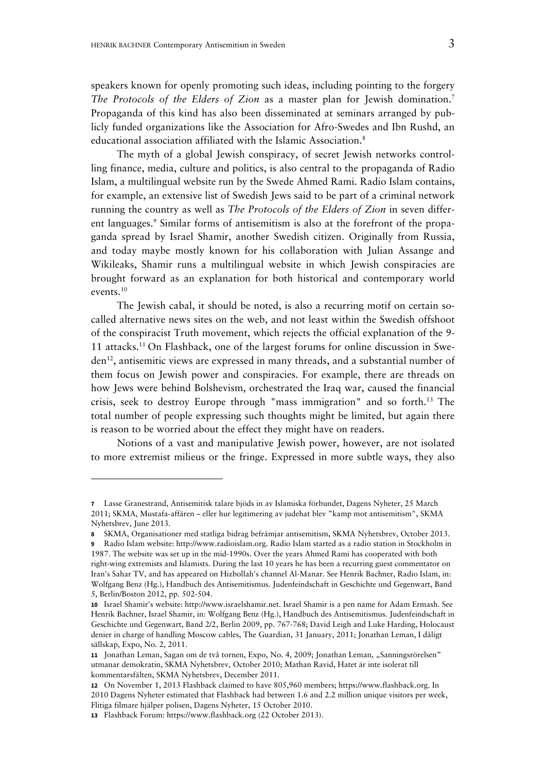speakers known for openly promoting such ideas, including pointing to the forgery *The Protocols of the Elders of Zion* as a master plan for Jewish domination.<sup>7</sup> Propaganda of this kind has also been disseminated at seminars arranged by publicly funded organizations like the Association for Afro-Swedes and Ibn Rushd, an educational association affiliated with the Islamic Association.<sup>8</sup>

The myth of a global Jewish conspiracy, of secret Jewish networks controlling finance, media, culture and politics, is also central to the propaganda of Radio Islam, a multilingual website run by the Swede Ahmed Rami. Radio Islam contains, for example, an extensive list of Swedish Jews said to be part of a criminal network running the country as well as *The Protocols of the Elders of Zion* in seven different languages.<sup>9</sup> Similar forms of antisemitism is also at the forefront of the propaganda spread by Israel Shamir, another Swedish citizen. Originally from Russia, and today maybe mostly known for his collaboration with Julian Assange and Wikileaks, Shamir runs a multilingual website in which Jewish conspiracies are brought forward as an explanation for both historical and contemporary world events.10

The Jewish cabal, it should be noted, is also a recurring motif on certain socalled alternative news sites on the web, and not least within the Swedish offshoot of the conspiracist Truth movement, which rejects the official explanation of the 9- 11 attacks.11 On Flashback, one of the largest forums for online discussion in Sweden<sup>12</sup>, antisemitic views are expressed in many threads, and a substantial number of them focus on Jewish power and conspiracies. For example, there are threads on how Jews were behind Bolshevism, orchestrated the Iraq war, caused the financial crisis, seek to destroy Europe through "mass immigration" and so forth.13 The total number of people expressing such thoughts might be limited, but again there is reason to be worried about the effect they might have on readers.

Notions of a vast and manipulative Jewish power, however, are not isolated to more extremist milieus or the fringe. Expressed in more subtle ways, they also

**<sup>7</sup>** Lasse Granestrand, Antisemitisk talare bjöds in av Islamiska förbundet, Dagens Nyheter, 25 March 2011; SKMA, Mustafa-affären – eller hur legitimering av judehat blev "kamp mot antisemitism", SKMA Nyhetsbrev, June 2013.

**<sup>8</sup>** SKMA, Organisationer med statliga bidrag befrämjar antisemitism, SKMA Nyhetsbrev, October 2013.

**<sup>9</sup>** Radio Islam website: http://www.radioislam.org. Radio Islam started as a radio station in Stockholm in 1987. The website was set up in the mid-1990s. Over the years Ahmed Rami has cooperated with both right-wing extremists and Islamists. During the last 10 years he has been a recurring guest commentator on Iran's Sahar TV, and has appeared on Hizbollah's channel Al-Manar. See Henrik Bachner, Radio Islam, in: Wolfgang Benz (Hg.), Handbuch des Antisemitismus. Judenfeindschaft in Geschichte und Gegenwart, Band 5, Berlin/Boston 2012, pp. 502-504.

**<sup>10</sup>** Israel Shamir's website: http://www.israelshamir.net. Israel Shamir is a pen name for Adam Ermash. See Henrik Bachner, Israel Shamir, in: Wolfgang Benz (Hg.), Handbuch des Antisemitismus. Judenfeindschaft in Geschichte und Gegenwart, Band 2/2, Berlin 2009, pp. 767-768; David Leigh and Luke Harding, Holocaust denier in charge of handling Moscow cables, The Guardian, 31 January, 2011; Jonathan Leman, I dåligt sällskap, Expo, No. 2, 2011.

<sup>11</sup> Jonathan Leman, Sagan om de två tornen, Expo, No. 4, 2009; Jonathan Leman, "Sanningsrörelsen" utmanar demokratin, SKMA Nyhetsbrev, October 2010; Mathan Ravid, Hatet är inte isolerat till kommentarsfälten, SKMA Nyhetsbrev, December 2011.

**<sup>12</sup>** On November 1, 2013 Flashback claimed to have 805,960 members; https://www.flashback.org. In 2010 Dagens Nyheter estimated that Flashback had between 1.6 and 2.2 million unique visitors per week, Flitiga filmare hjälper polisen, Dagens Nyheter, 15 October 2010.

**<sup>13</sup>** Flashback Forum: https://www.flashback.org (22 October 2013).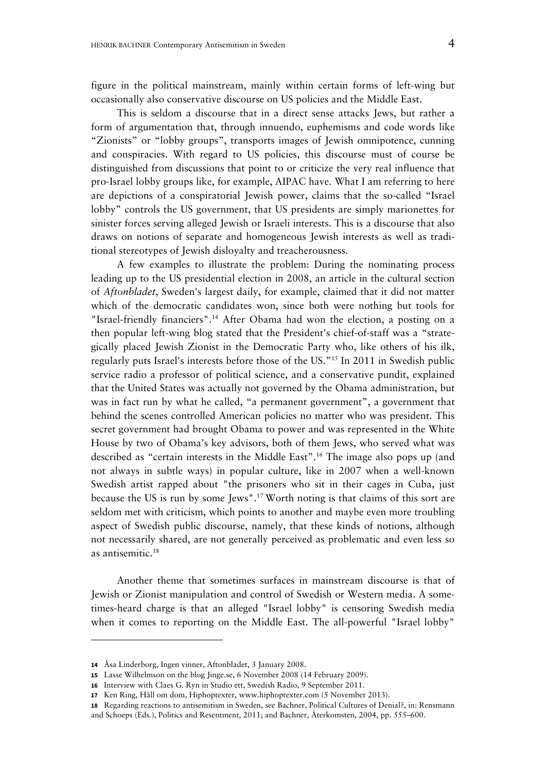figure in the political mainstream, mainly within certain forms of left-wing but occasionally also conservative discourse on US policies and the Middle East.

This is seldom a discourse that in a direct sense attacks Jews, but rather a form of argumentation that, through innuendo, euphemisms and code words like "Zionists" or "lobby groups", transports images of Jewish omnipotence, cunning and conspiracies. With regard to US policies, this discourse must of course be distinguished from discussions that point to or criticize the very real influence that pro-Israel lobby groups like, for example, AIPAC have. What I am referring to here are depictions of a conspiratorial Jewish power, claims that the so-called "Israel lobby" controls the US government, that US presidents are simply marionettes for sinister forces serving alleged Jewish or Israeli interests. This is a discourse that also draws on notions of separate and homogeneous Jewish interests as well as traditional stereotypes of Jewish disloyalty and treacherousness.

A few examples to illustrate the problem: During the nominating process leading up to the US presidential election in 2008, an article in the cultural section of *Aftonbladet*, Sweden's largest daily, for example, claimed that it did not matter which of the democratic candidates won, since both were nothing but tools for "Israel-friendly financiers".<sup>14</sup> After Obama had won the election, a posting on a then popular left-wing blog stated that the President's chief-of-staff was a "strategically placed Jewish Zionist in the Democratic Party who, like others of his ilk, regularly puts Israel's interests before those of the US."15 In 2011 in Swedish public service radio a professor of political science, and a conservative pundit, explained that the United States was actually not governed by the Obama administration, but was in fact run by what he called, "a permanent government", a government that behind the scenes controlled American policies no matter who was president. This secret government had brought Obama to power and was represented in the White House by two of Obama's key advisors, both of them Jews, who served what was described as "certain interests in the Middle East".16 The image also pops up (and not always in subtle ways) in popular culture, like in 2007 when a well-known Swedish artist rapped about "the prisoners who sit in their cages in Cuba, just because the US is run by some Jews".17 Worth noting is that claims of this sort are seldom met with criticism, which points to another and maybe even more troubling aspect of Swedish public discourse, namely, that these kinds of notions, although not necessarily shared, are not generally perceived as problematic and even less so as antisemitic.18

Another theme that sometimes surfaces in mainstream discourse is that of Jewish or Zionist manipulation and control of Swedish or Western media. A sometimes-heard charge is that an alleged "Israel lobby" is censoring Swedish media when it comes to reporting on the Middle East. The all-powerful "Israel lobby"

**<sup>14</sup>** Åsa Linderborg, Ingen vinner, Aftonbladet, 3 January 2008.

**<sup>15</sup>** Lasse Wilhelmson on the blog Jinge.se, 6 November 2008 (14 February 2009).

**<sup>16</sup>** Interview with Claes G. Ryn in Studio ett, Swedish Radio, 9 September 2011.

**<sup>17</sup>** Ken Ring, Håll om dom, Hiphoptexter, www.hiphoptexter.com (5 November 2013).

**<sup>18</sup>** Regarding reactions to antisemitism in Sweden, see Bachner, Political Cultures of Denial?, in: Rensmann

and Schoeps (Eds.), Politics and Resentment*,* 2011; and Bachner, Återkomsten, 2004, pp. 555–600.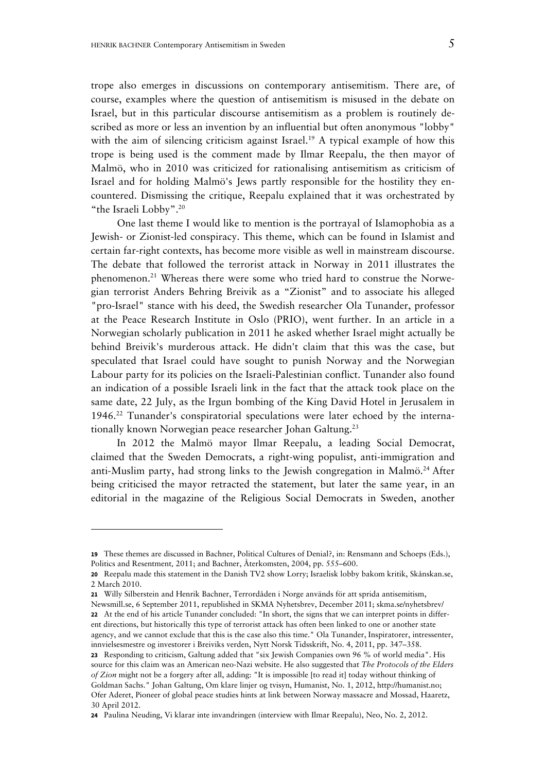trope also emerges in discussions on contemporary antisemitism. There are, of course, examples where the question of antisemitism is misused in the debate on Israel, but in this particular discourse antisemitism as a problem is routinely described as more or less an invention by an influential but often anonymous "lobby" with the aim of silencing criticism against Israel.<sup>19</sup> A typical example of how this trope is being used is the comment made by Ilmar Reepalu, the then mayor of Malmö, who in 2010 was criticized for rationalising antisemitism as criticism of Israel and for holding Malmö's Jews partly responsible for the hostility they encountered. Dismissing the critique, Reepalu explained that it was orchestrated by "the Israeli Lobby".20

One last theme I would like to mention is the portrayal of Islamophobia as a Jewish- or Zionist-led conspiracy. This theme, which can be found in Islamist and certain far-right contexts, has become more visible as well in mainstream discourse. The debate that followed the terrorist attack in Norway in 2011 illustrates the phenomenon.<sup>21</sup> Whereas there were some who tried hard to construe the Norwegian terrorist Anders Behring Breivik as a "Zionist" and to associate his alleged "pro-Israel" stance with his deed, the Swedish researcher Ola Tunander, professor at the Peace Research Institute in Oslo (PRIO), went further. In an article in a Norwegian scholarly publication in 2011 he asked whether Israel might actually be behind Breivik's murderous attack. He didn't claim that this was the case, but speculated that Israel could have sought to punish Norway and the Norwegian Labour party for its policies on the Israeli-Palestinian conflict. Tunander also found an indication of a possible Israeli link in the fact that the attack took place on the same date, 22 July, as the Irgun bombing of the King David Hotel in Jerusalem in 1946.22 Tunander's conspiratorial speculations were later echoed by the internationally known Norwegian peace researcher Johan Galtung.<sup>23</sup>

In 2012 the Malmö mayor Ilmar Reepalu, a leading Social Democrat, claimed that the Sweden Democrats, a right-wing populist, anti-immigration and anti-Muslim party, had strong links to the Jewish congregation in Malmö.<sup>24</sup> After being criticised the mayor retracted the statement, but later the same year, in an editorial in the magazine of the Religious Social Democrats in Sweden, another

**21** Willy Silberstein and Henrik Bachner, Terrordåden i Norge används för att sprida antisemitism,

**<sup>19</sup>** These themes are discussed in Bachner, Political Cultures of Denial?, in: Rensmann and Schoeps (Eds.), Politics and Resentment*,* 2011; and Bachner, Återkomsten, 2004, pp. 555–600.

**<sup>20</sup>** Reepalu made this statement in the Danish TV2 show Lorry; Israelisk lobby bakom kritik, Skånskan.se, 2 March 2010.

Newsmill.se, 6 September 2011, republished in SKMA Nyhetsbrev, December 2011; skma.se/nyhetsbrev/ **22** At the end of his article Tunander concluded: "In short, the signs that we can interpret points in different directions, but historically this type of terrorist attack has often been linked to one or another state agency, and we cannot exclude that this is the case also this time." Ola Tunander, Inspiratorer, intressenter, innvielsesmestre og investorer i Breiviks verden, Nytt Norsk Tidsskrift, No. 4, 2011, pp. 347–358.

**<sup>23</sup>** Responding to criticism, Galtung added that "six Jewish Companies own 96 % of world media". His source for this claim was an American neo-Nazi website. He also suggested that *The Protocols of the Elders of Zion* might not be a forgery after all, adding: "It is impossible [to read it] today without thinking of Goldman Sachs." Johan Galtung, Om klare linjer og tvisyn, Humanist, No. 1, 2012, http://humanist.no; Ofer Aderet, Pioneer of global peace studies hints at link between Norway massacre and Mossad, Haaretz, 30 April 2012.

**<sup>24</sup>** Paulina Neuding, Vi klarar inte invandringen (interview with Ilmar Reepalu), Neo, No. 2, 2012.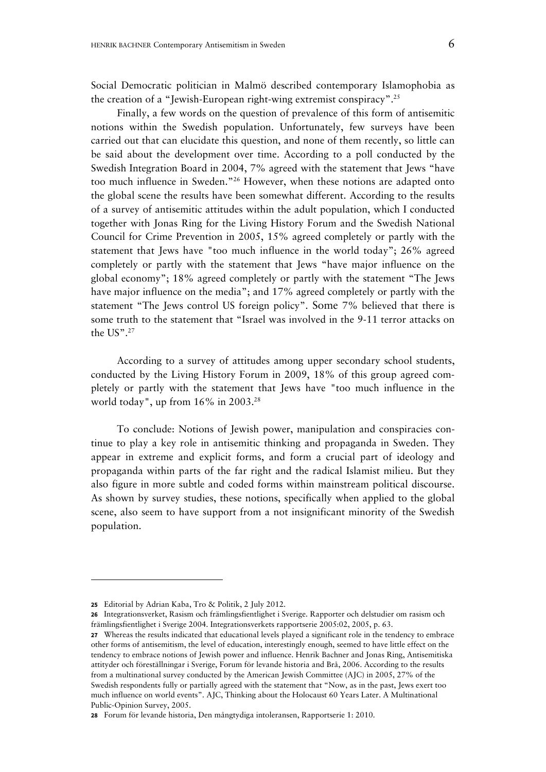Social Democratic politician in Malmö described contemporary Islamophobia as the creation of a "Jewish-European right-wing extremist conspiracy".25

Finally, a few words on the question of prevalence of this form of antisemitic notions within the Swedish population. Unfortunately, few surveys have been carried out that can elucidate this question, and none of them recently, so little can be said about the development over time. According to a poll conducted by the Swedish Integration Board in 2004, 7% agreed with the statement that Jews "have too much influence in Sweden."26 However, when these notions are adapted onto the global scene the results have been somewhat different. According to the results of a survey of antisemitic attitudes within the adult population, which I conducted together with Jonas Ring for the Living History Forum and the Swedish National Council for Crime Prevention in 2005, 15% agreed completely or partly with the statement that Jews have "too much influence in the world today"; 26% agreed completely or partly with the statement that Jews "have major influence on the global economy"; 18% agreed completely or partly with the statement "The Jews have major influence on the media"; and 17% agreed completely or partly with the statement "The Jews control US foreign policy". Some 7% believed that there is some truth to the statement that "Israel was involved in the 9-11 terror attacks on the US".27

According to a survey of attitudes among upper secondary school students, conducted by the Living History Forum in 2009, 18% of this group agreed completely or partly with the statement that Jews have "too much influence in the world today", up from 16% in 2003.28

To conclude: Notions of Jewish power, manipulation and conspiracies continue to play a key role in antisemitic thinking and propaganda in Sweden. They appear in extreme and explicit forms, and form a crucial part of ideology and propaganda within parts of the far right and the radical Islamist milieu. But they also figure in more subtle and coded forms within mainstream political discourse. As shown by survey studies, these notions, specifically when applied to the global scene, also seem to have support from a not insignificant minority of the Swedish population.

**<sup>25</sup>** Editorial by Adrian Kaba, Tro & Politik, 2 July 2012.

**<sup>26</sup>** Integrationsverket, Rasism och främlingsfientlighet i Sverige. Rapporter och delstudier om rasism och främlingsfientlighet i Sverige 2004. Integrationsverkets rapportserie 2005:02, 2005, p. 63.

**<sup>27</sup>** Whereas the results indicated that educational levels played a significant role in the tendency to embrace other forms of antisemitism, the level of education, interestingly enough, seemed to have little effect on the tendency to embrace notions of Jewish power and influence. Henrik Bachner and Jonas Ring, Antisemitiska attityder och föreställningar i Sverige, Forum för levande historia and Brå, 2006. According to the results from a multinational survey conducted by the American Jewish Committee (AJC) in 2005, 27% of the Swedish respondents fully or partially agreed with the statement that "Now, as in the past, Jews exert too much influence on world events". AJC, Thinking about the Holocaust 60 Years Later. A Multinational Public-Opinion Survey, 2005.

**<sup>28</sup>** Forum för levande historia, Den mångtydiga intoleransen, Rapportserie 1: 2010.